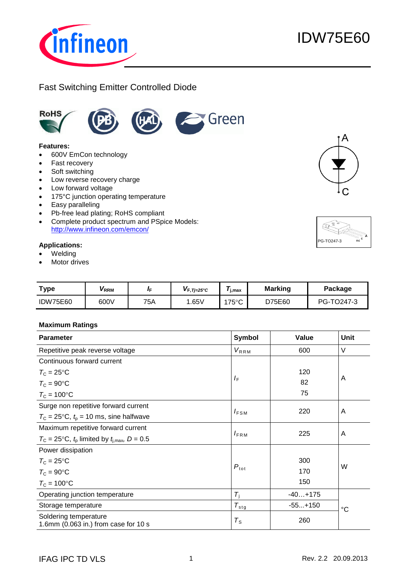

# Fast Switching Emitter Controlled Diode



#### **Features:**

- 600V EmCon technology
- Fast recovery
- Soft switching
- Low reverse recovery charge
- Low forward voltage
- 175°C junction operating temperature
- Easy paralleling
- Pb-free lead plating; RoHS compliant
- Complete product spectrum and PSpice Models: http://www.infineon.com/emcon/

### **Applications:**

- Welding
- Motor drives

| <b>Type</b>     | VRRM | ′F  | $V_{F, T=25\degree C}$ | j,max           | <b>Marking</b> | Package    |
|-----------------|------|-----|------------------------|-----------------|----------------|------------|
| <b>IDW75E60</b> | 600V | 75A | .65V                   | $175^{\circ}$ C | D75E60         | PG-TO247-3 |

### **Maximum Ratings**

| <b>Parameter</b>                                              | Symbol           | Value     | Unit        |
|---------------------------------------------------------------|------------------|-----------|-------------|
| Repetitive peak reverse voltage                               | $V_{RRM}$        | 600       | $\vee$      |
| Continuous forward current                                    |                  |           |             |
| $T_{\rm C}$ = 25°C                                            |                  | 120       |             |
| $T_c = 90$ °C                                                 | $I_{\rm F}$      | 82        | A           |
| $T_c = 100$ °C                                                |                  | 75        |             |
| Surge non repetitive forward current                          |                  |           |             |
| $T_c = 25$ °C, $t_p = 10$ ms, sine halfwave                   | $I_{FSM}$        | 220       | A           |
| Maximum repetitive forward current                            |                  |           |             |
| $T_c = 25$ °C, $t_p$ limited by $t_{i,max}$ , D = 0.5         | $I_{\text{FRM}}$ | 225       | A           |
| Power dissipation                                             |                  |           |             |
| $T_{\rm C}$ = 25°C                                            |                  | 300       |             |
| $T_{\rm C} = 90$ °C                                           | $P_{\text{tot}}$ | 170       | W           |
| $T_{\rm C}$ = 100 $^{\circ}$ C                                |                  | 150       |             |
| Operating junction temperature                                | $T_{\rm i}$      | $-40+175$ |             |
| Storage temperature                                           | $T_{\sf stg}$    | $-55+150$ | $^{\circ}C$ |
| Soldering temperature<br>1.6mm (0.063 in.) from case for 10 s | $T_{\rm S}$      | 260       |             |



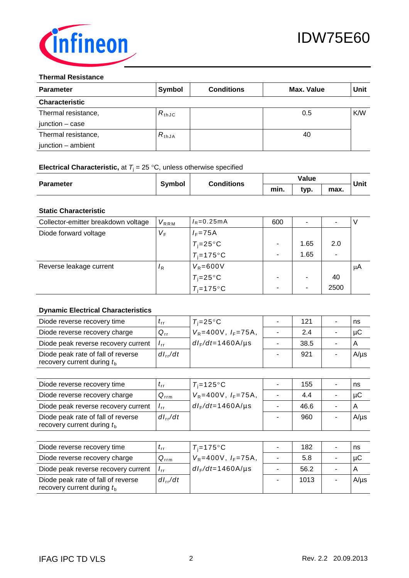

#### **Thermal Resistance**

| <b>Parameter</b>      | Symbol     | <b>Conditions</b> | Max. Value | Unit |
|-----------------------|------------|-------------------|------------|------|
| <b>Characteristic</b> |            |                   |            |      |
| Thermal resistance,   | $R_{thJC}$ |                   | 0.5        | K/W  |
| $junction - case$     |            |                   |            |      |
| Thermal resistance,   | $R_{thJA}$ |                   | 40         |      |
| junction - ambient    |            |                   |            |      |

# **Electrical Characteristic,** at  $T_j = 25 \text{ °C}$ , unless otherwise specified

| <b>Parameter</b> | <b>Symbol</b> | <b>Conditions</b> |      | Value |      | Unit |
|------------------|---------------|-------------------|------|-------|------|------|
|                  |               |                   | min. | typ.  | max. |      |

# **Static Characteristic**

| Collector-emitter breakdown voltage | $V_{RRM}$      | $I_R = 0.25 \text{ mA}$ | 600 | $\overline{\phantom{a}}$ |      |    |
|-------------------------------------|----------------|-------------------------|-----|--------------------------|------|----|
| Diode forward voltage               | $V_F$          | $I_F = 75A$             |     |                          |      |    |
|                                     |                | $T_i = 25^{\circ}C$     |     | 1.65                     | 2.0  |    |
|                                     |                | $T_i = 175$ °C          |     | 1.65                     | -    |    |
| Reverse leakage current             | $\overline{R}$ | $V_R = 600V$            |     |                          |      | μA |
|                                     |                | $T_i = 25^{\circ}C$     |     | ٠                        | 40   |    |
|                                     |                | $T_i = 175$ °C          |     | $\overline{\phantom{a}}$ | 2500 |    |

## **Dynamic Electrical Characteristics**

| Diode reverse recovery time                                        | $\iota_{\mathsf{r}\mathsf{r}}$ | $T_i = 25^{\circ}C$          | 121  | ns        |
|--------------------------------------------------------------------|--------------------------------|------------------------------|------|-----------|
| Diode reverse recovery charge                                      | $Q_{rr}$                       | $V_R = 400V$ , $I_F = 75A$ , | 2.4  | μC        |
| Diode peak reverse recovery current                                | $I_{rr}$                       | $dI_F/dt = 1460$ A/µs        | 38.5 |           |
| Diode peak rate of fall of reverse<br>recovery current during $tb$ | $dl_{rr}/dt$                   |                              | 921  | $A/\mu s$ |

| Diode reverse recovery time                                        | $\iota$ rr       | $T_i = 125$ °C               | 155  | ns        |
|--------------------------------------------------------------------|------------------|------------------------------|------|-----------|
| Diode reverse recovery charge                                      | $Q_{\text{rrm}}$ | $V_R = 400V$ , $I_F = 75A$ , | 4.4  | uС        |
| Diode peak reverse recovery current                                | $I_{rr}$         | $dI_F/dt = 1460$ A/µs        | 46.6 |           |
| Diode peak rate of fall of reverse<br>recovery current during $tb$ | $dl_{rr}/dt$     |                              | 960  | $A/\mu s$ |

| Diode reverse recovery time                                        | $\iota_{rr}$     | $T_i = 175$ °C               | 182  | ns        |
|--------------------------------------------------------------------|------------------|------------------------------|------|-----------|
| Diode reverse recovery charge                                      | $Q_{\text{rrm}}$ | $V_R = 400V$ , $I_F = 75A$ , | 5.8  | μC        |
| Diode peak reverse recovery current                                | $I_{rr}$         | $dl_F/dt = 1460$ A/µs        | 56.2 |           |
| Diode peak rate of fall of reverse<br>recovery current during $tb$ | $dl_{rr}/dt$     |                              | 1013 | $A/\mu s$ |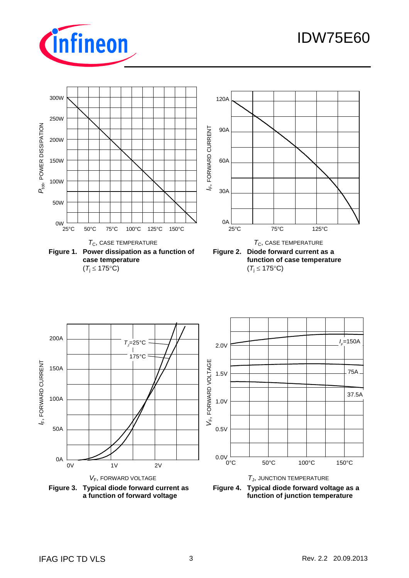

# IDW75E60



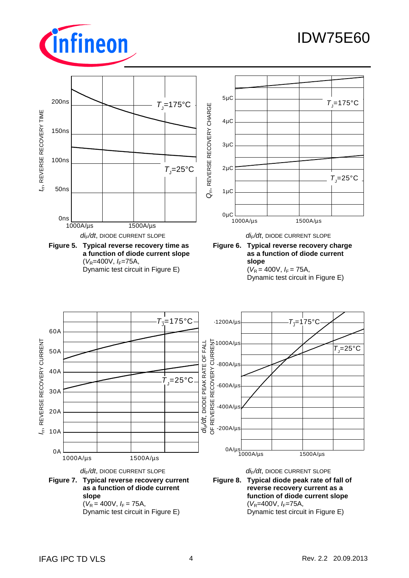

# IDW75E60

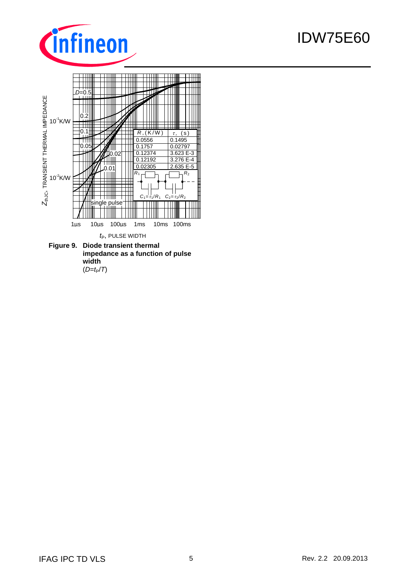

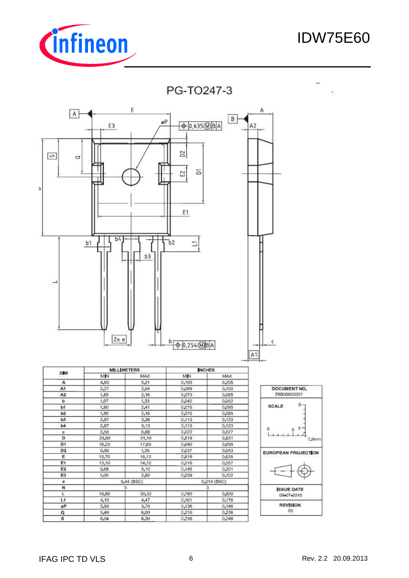

# IDW75E60





|                      |               | <b>INCHES</b> |            | <b>MILLIMETERS</b> |                |
|----------------------|---------------|---------------|------------|--------------------|----------------|
|                      | MAX.          | MIN           | MAX        | MN                 | <b>DIM</b>     |
|                      | 0,205         | 0,190         | 5,21       | 4,83               | A              |
| t                    | 0,100         | 0,089         | 2,54       | 2.27               | A1             |
|                      | 0,085         | 0,073         | 2,16       | 1.85               | A <sub>2</sub> |
|                      | 0.052         | 0,042         | 1.33       | 1,07               | ь              |
| sc                   | 0.095         | 0.075         | 2,41       | 1,90               | b1             |
|                      | 0,085         | 0,075         | 2.16       | 1.90               | b <sub>2</sub> |
|                      | 0.133         | 0.113         | 3,38       | 2,87               | b3             |
|                      | 0,123         | 0,113         | 3,13       | 2,87               | Ь4             |
| $\stackrel{0}{\Box}$ | 0,027         | 0.022         | 0,68       | 0,55               | c              |
|                      | 0,831         | 0,819         | 21,10      | 20,80              | D              |
|                      | 0,695         | 0,640         | 17,65      | 16,25              | D1             |
| <b>EUR</b>           | 0,053         | 0.037         | 1.35       | 0.95               | D <sub>2</sub> |
|                      | 0,635         | 0,618         | 16,13      | 15,70              | Ε              |
|                      | 0,557         | 0,516         | 14,15      | 13,10              | E1             |
|                      | 0,201         | 0,145         | 5,10       | 3,68               | E <sub>2</sub> |
|                      | 0,102         | 0.039         | 2,60       | 1,00               | E3             |
|                      | $0.214$ (BSC) |               | 5.44 (BSC) |                    | e              |
|                      | з             |               | з          |                    | N              |
|                      | 0,800         | 0,780         | 20,32      | 19,80              | Ł              |
|                      | 0.176         | 0.161         | 4,47       | 4,10               | L1             |
|                      | 0,146         | 0,138         | 3,70       | 3,50               | øΡ             |
|                      | 0,236         | 0,216         | 6,00       | 5,49               | Q              |
|                      | 0,248         | 0,238         | 6,30       | 6,04               | s              |
|                      |               |               |            |                    |                |

| DOCUMENT NO.<br>Z8B00003327 |            |
|-----------------------------|------------|
| SCALE                       | ō          |
| 0                           | 7.5mm      |
| EUROPEAN PROJECTION         |            |
|                             |            |
| <b>ISSUE DATE</b>           | 09 07 2010 |
| <b>REVISION</b>             | 05         |